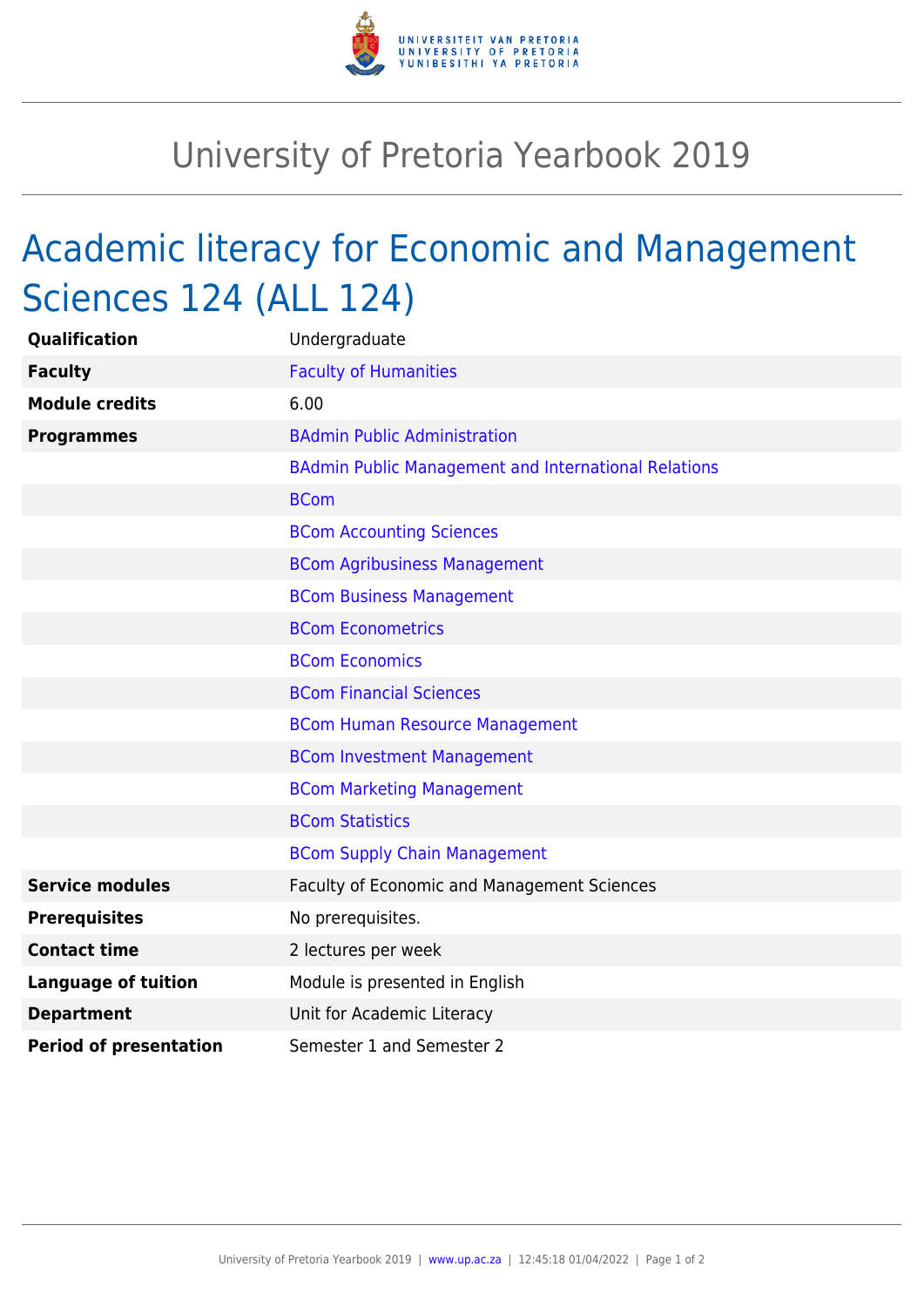

## University of Pretoria Yearbook 2019

## Academic literacy for Economic and Management Sciences 124 (ALL 124)

| <b>Qualification</b>          | Undergraduate                                               |
|-------------------------------|-------------------------------------------------------------|
| <b>Faculty</b>                | <b>Faculty of Humanities</b>                                |
| <b>Module credits</b>         | 6.00                                                        |
| <b>Programmes</b>             | <b>BAdmin Public Administration</b>                         |
|                               | <b>BAdmin Public Management and International Relations</b> |
|                               | <b>BCom</b>                                                 |
|                               | <b>BCom Accounting Sciences</b>                             |
|                               | <b>BCom Agribusiness Management</b>                         |
|                               | <b>BCom Business Management</b>                             |
|                               | <b>BCom Econometrics</b>                                    |
|                               | <b>BCom Economics</b>                                       |
|                               | <b>BCom Financial Sciences</b>                              |
|                               | <b>BCom Human Resource Management</b>                       |
|                               | <b>BCom Investment Management</b>                           |
|                               | <b>BCom Marketing Management</b>                            |
|                               | <b>BCom Statistics</b>                                      |
|                               | <b>BCom Supply Chain Management</b>                         |
| <b>Service modules</b>        | Faculty of Economic and Management Sciences                 |
| <b>Prerequisites</b>          | No prerequisites.                                           |
| <b>Contact time</b>           | 2 lectures per week                                         |
| <b>Language of tuition</b>    | Module is presented in English                              |
| <b>Department</b>             | Unit for Academic Literacy                                  |
| <b>Period of presentation</b> | Semester 1 and Semester 2                                   |